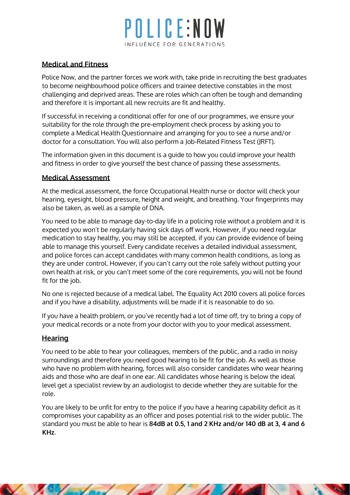# OLICE:NO INFLUENCE FOR GENERATIONS

## **Medical and Fitness**

Police Now, and the partner forces we work with, take pride in recruiting the best graduates to become neighbourhood police officers and trainee detective constables in the most challenging and deprived areas. These are roles which can often be tough and demanding and therefore it is important all new recruits are fit and healthy.

If successful in receiving a conditional offer for one of our programmes, we ensure your suitability for the role through the pre-employment check process by asking you to complete a Medical Health Questionnaire and arranging for you to see a nurse and/or doctor for a consultation. You will also perform a Job-Related Fitness Test (JRFT).

The information given in this document is a guide to how you could improve your health and fitness in order to give yourself the best chance of passing these assessments.

### **Medical Assessment**

At the medical assessment, the force Occupational Health nurse or doctor will check your hearing, eyesight, blood pressure, height and weight, and breathing. Your fingerprints may also be taken, as well as a sample of DNA.

You need to be able to manage day-to-day life in a policing role without a problem and it is expected you won't be regularly having sick days off work. However, if you need regular medication to stay healthy, you may still be accepted, if you can provide evidence of being able to manage this yourself. Every candidate receives a detailed individual assessment, and police forces can accept candidates with many common health conditions, as long as they are under control. However, if you can't carry out the role safely without putting your own health at risk, or you can't meet some of the core requirements, you will not be found fit for the job.

No one is rejected because of a medical label. The Equality Act 2010 covers all police forces and if you have a disability, adjustments will be made if it is reasonable to do so.

If you have a health problem, or you've recently had a lot of time off, try to bring a copy of your medical records or a note from your doctor with you to your medical assessment.

### **Hearing**

You need to be able to hear your colleagues, members of the public, and a radio in noisy surroundings and therefore you need good hearing to be fit for the job. As well as those who have no problem with hearing, forces will also consider candidates who wear hearing aids and those who are deaf in one ear. All candidates whose hearing is below the ideal level get a specialist review by an audiologist to decide whether they are suitable for the role.

You are likely to be unfit for entry to the police if you have a hearing capability deficit as it compromises your capability as an officer and poses potential risk to the wider public. The standard you must be able to hear is **84dB at 0.5, 1 and 2 KHz and/or 140 dB at 3, 4 and 6 KHz**.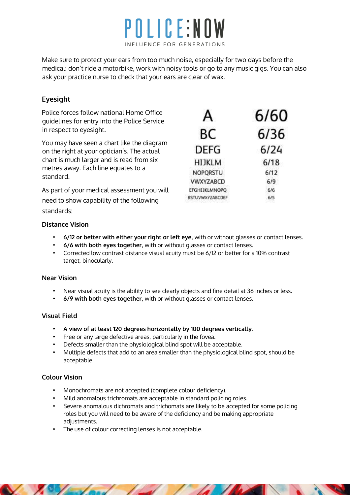

Make sure to protect your ears from too much noise, especially for two days before the medical: don't ride a motorbike, work with noisy tools or go to any music gigs. You can also ask your practice nurse to check that your ears are clear of wax.

## **Eyesight**

Police forces follow national Home Office guidelines for entry into the Police Service in respect to eyesight.

You may have seen a chart like the diagram on the right at your optician's. The actual chart is much larger and is read from six metres away. Each line equates to a standard.

As part of your medical assessment you will need to show capability of the following standards:

| А                | 6/60 |
|------------------|------|
| BС               | 6/36 |
| <b>DEFG</b>      | 6/24 |
| HIJKLM           | 6/18 |
| NOPORSTU         | 6/12 |
| <b>VWXYZABCD</b> | 6/9  |
| EFGHIJKLMNOPO    | 6/6  |
| RSTUVWXYZABCDEF  | 6/5  |

### **Distance Vision**

- **6/12 or better with either your right or left eye**, with or without glasses or contact lenses.
- **6/6 with both eyes together**, with or without glasses or contact lenses.
- Corrected low contrast distance visual acuity must be 6/12 or better for a 10% contrast target, binocularly.

#### **Near Vision**

- Near visual acuity is the ability to see clearly objects and fine detail at 36 inches or less.
- **6/9 with both eyes together**, with or without glasses or contact lenses.

### **Visual Field**

- **A view of at least 120 degrees horizontally by 100 degrees vertically**.
- Free or any large defective areas, particularly in the fovea.
- Defects smaller than the physiological blind spot will be acceptable.
- Multiple defects that add to an area smaller than the physiological blind spot, should be acceptable.

## **Colour Vision**

- Monochromats are not accepted (complete colour deficiency).
- Mild anomalous trichromats are acceptable in standard policing roles.
- Severe anomalous dichromats and trichomats are likely to be accepted for some policing roles but you will need to be aware of the deficiency and be making appropriate adjustments.
- The use of colour correcting lenses is not acceptable.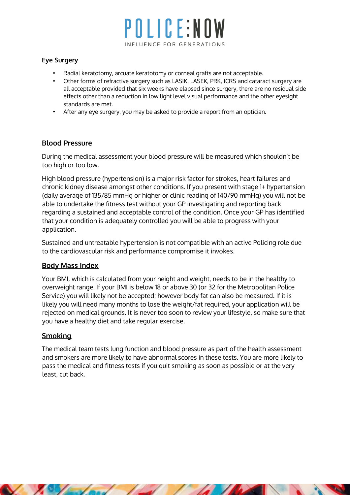# POLICE:NOW INFLUENCE FOR GENERATIONS

### **Eye Surgery**

- Radial keratotomy, arcuate keratotomy or corneal grafts are not acceptable.
- Other forms of refractive surgery such as LASIK, LASEK, PRK, ICRS and cataract surgery are all acceptable provided that six weeks have elapsed since surgery, there are no residual side effects other than a reduction in low light level visual performance and the other eyesight standards are met.
- After any eye surgery, you may be asked to provide a report from an optician.

### **Blood Pressure**

During the medical assessment your blood pressure will be measured which shouldn't be too high or too low.

High blood pressure (hypertension) is a major risk factor for strokes, heart failures and chronic kidney disease amongst other conditions. If you present with stage 1+ hypertension (daily average of 135/85 mmHg or higher or clinic reading of 140/90 mmHg) you will not be able to undertake the fitness test without your GP investigating and reporting back regarding a sustained and acceptable control of the condition. Once your GP has identified that your condition is adequately controlled you will be able to progress with your application.

Sustained and untreatable hypertension is not compatible with an active Policing role due to the cardiovascular risk and performance compromise it invokes.

## **Body Mass Index**

Your BMI, which is calculated from your height and weight, needs to be in the healthy to overweight range. If your BMI is below 18 or above 30 (or 32 for the Metropolitan Police Service) you will likely not be accepted; however body fat can also be measured. If it is likely you will need many months to lose the weight/fat required, your application will be rejected on medical grounds. It is never too soon to review your lifestyle, so make sure that you have a healthy diet and take regular exercise.

## **Smoking**

The medical team tests lung function and blood pressure as part of the health assessment and smokers are more likely to have abnormal scores in these tests. You are more likely to pass the medical and fitness tests if you quit smoking as soon as possible or at the very least, cut back.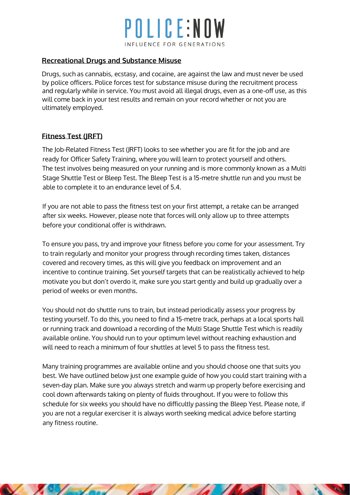# POLICE:NO INFLUENCE FOR GENERATIONS

## **Recreational Drugs and Substance Misuse**

Drugs, such as cannabis, ecstasy, and cocaine, are against the law and must never be used by police officers. Police forces test for substance misuse during the recruitment process and regularly while in service. You must avoid all illegal drugs, even as a one-off use, as this will come back in your test results and remain on your record whether or not you are ultimately employed.

## **Fitness Test (JRFT)**

The Job-Related Fitness Test (JRFT) looks to see whether you are fit for the job and are ready for Officer Safety Training, where you will learn to protect yourself and others. The test involves being measured on your running and is more commonly known as a Multi Stage Shuttle Test or Bleep Test. The Bleep Test is a 15-metre shuttle run and you must be able to complete it to an endurance level of 5.4.

If you are not able to pass the fitness test on your first attempt, a retake can be arranged after six weeks. However, please note that forces will only allow up to three attempts before your conditional offer is withdrawn.

To ensure you pass, try and improve your fitness before you come for your assessment. Try to train regularly and monitor your progress through recording times taken, distances covered and recovery times, as this will give you feedback on improvement and an incentive to continue training. Set yourself targets that can be realistically achieved to help motivate you but don't overdo it, make sure you start gently and build up gradually over a period of weeks or even months.

You should not do shuttle runs to train, but instead periodically assess your progress by testing yourself. To do this, you need to find a 15-metre track, perhaps at a local sports hall or running track and download a recording of the Multi Stage Shuttle Test which is readily available online. You should run to your optimum level without reaching exhaustion and will need to reach a minimum of four shuttles at level 5 to pass the fitness test.

Many training programmes are available online and you should choose one that suits you best. We have outlined below just one example guide of how you could start training with a seven-day plan. Make sure you always stretch and warm up properly before exercising and cool down afterwards taking on plenty of fluids throughout. If you were to follow this schedule for six weeks you should have no difficultly passing the Bleep Yest. Please note, if you are not a regular exerciser it is always worth seeking medical advice before starting any fitness routine.